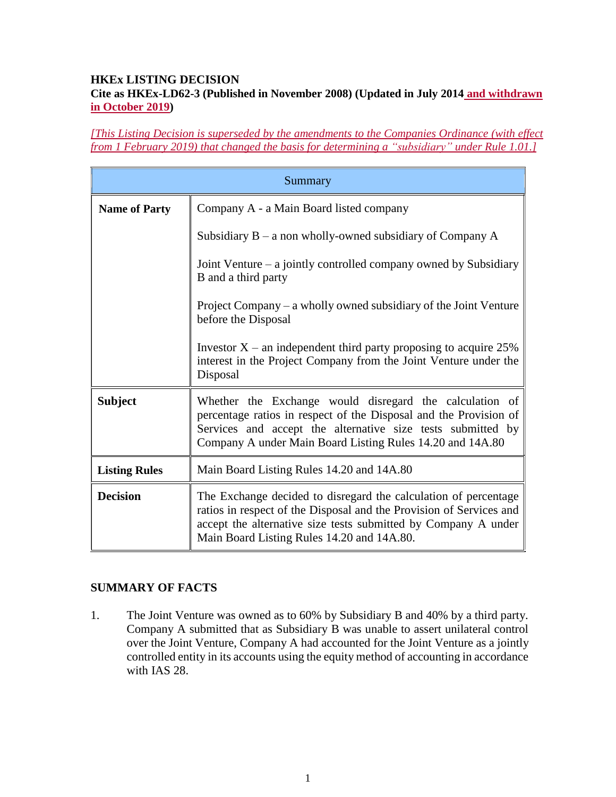#### **HKEx LISTING DECISION Cite as HKEx-LD62-3 (Published in November 2008) (Updated in July 2014 and withdrawn in October 2019)**

*[This Listing Decision is superseded by the amendments to the Companies Ordinance (with effect from 1 February 2019) that changed the basis for determining a "subsidiary" under Rule 1.01.]*

| Summary              |                                                                                                                                                                                                                                                          |
|----------------------|----------------------------------------------------------------------------------------------------------------------------------------------------------------------------------------------------------------------------------------------------------|
| <b>Name of Party</b> | Company A - a Main Board listed company                                                                                                                                                                                                                  |
|                      | Subsidiary $B - a$ non wholly-owned subsidiary of Company A                                                                                                                                                                                              |
|                      | Joint Venture $-$ a jointly controlled company owned by Subsidiary<br>B and a third party                                                                                                                                                                |
|                      | Project Company $-$ a wholly owned subsidiary of the Joint Venture<br>before the Disposal                                                                                                                                                                |
|                      | Investor $X$ – an independent third party proposing to acquire 25%<br>interest in the Project Company from the Joint Venture under the<br>Disposal                                                                                                       |
| <b>Subject</b>       | Whether the Exchange would disregard the calculation of<br>percentage ratios in respect of the Disposal and the Provision of<br>Services and accept the alternative size tests submitted by<br>Company A under Main Board Listing Rules 14.20 and 14A.80 |
| <b>Listing Rules</b> | Main Board Listing Rules 14.20 and 14A.80                                                                                                                                                                                                                |
| <b>Decision</b>      | The Exchange decided to disregard the calculation of percentage<br>ratios in respect of the Disposal and the Provision of Services and<br>accept the alternative size tests submitted by Company A under<br>Main Board Listing Rules 14.20 and 14A.80.   |

### **SUMMARY OF FACTS**

1. The Joint Venture was owned as to 60% by Subsidiary B and 40% by a third party. Company A submitted that as Subsidiary B was unable to assert unilateral control over the Joint Venture, Company A had accounted for the Joint Venture as a jointly controlled entity in its accounts using the equity method of accounting in accordance with IAS 28.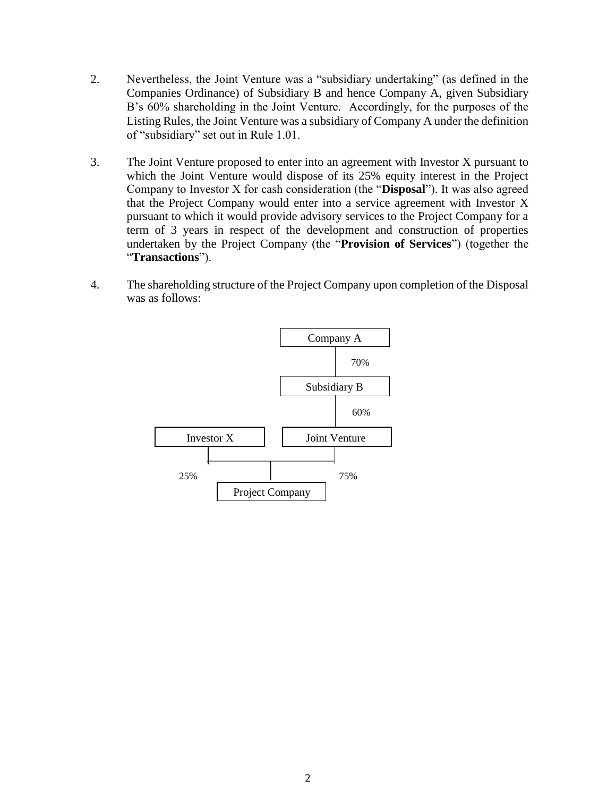- 2. Nevertheless, the Joint Venture was a "subsidiary undertaking" (as defined in the Companies Ordinance) of Subsidiary B and hence Company A, given Subsidiary B's 60% shareholding in the Joint Venture. Accordingly, for the purposes of the Listing Rules, the Joint Venture was a subsidiary of Company A under the definition of "subsidiary" set out in Rule 1.01.
- 3. The Joint Venture proposed to enter into an agreement with Investor X pursuant to which the Joint Venture would dispose of its 25% equity interest in the Project Company to Investor X for cash consideration (the "**Disposal**"). It was also agreed that the Project Company would enter into a service agreement with Investor X pursuant to which it would provide advisory services to the Project Company for a term of 3 years in respect of the development and construction of properties undertaken by the Project Company (the "**Provision of Services**") (together the "**Transactions**").
- 4. The shareholding structure of the Project Company upon completion of the Disposal was as follows:

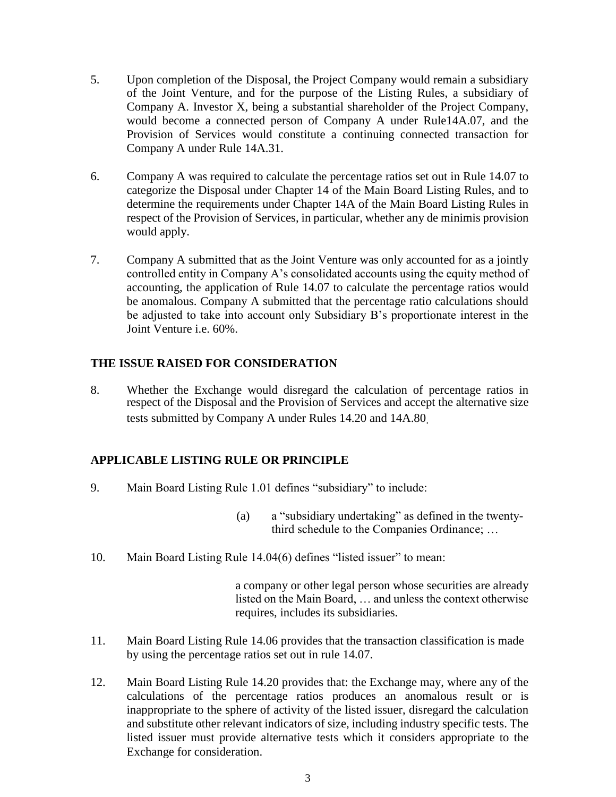- 5. Upon completion of the Disposal, the Project Company would remain a subsidiary of the Joint Venture, and for the purpose of the Listing Rules, a subsidiary of Company A. Investor X, being a substantial shareholder of the Project Company, would become a connected person of Company A under Rule14A.07, and the Provision of Services would constitute a continuing connected transaction for Company A under Rule 14A.31.
- 6. Company A was required to calculate the percentage ratios set out in Rule 14.07 to categorize the Disposal under Chapter 14 of the Main Board Listing Rules, and to determine the requirements under Chapter 14A of the Main Board Listing Rules in respect of the Provision of Services, in particular, whether any de minimis provision would apply.
- 7. Company A submitted that as the Joint Venture was only accounted for as a jointly controlled entity in Company A's consolidated accounts using the equity method of accounting, the application of Rule 14.07 to calculate the percentage ratios would be anomalous. Company A submitted that the percentage ratio calculations should be adjusted to take into account only Subsidiary B's proportionate interest in the Joint Venture i.e. 60%.

### **THE ISSUE RAISED FOR CONSIDERATION**

8. Whether the Exchange would disregard the calculation of percentage ratios in respect of the Disposal and the Provision of Services and accept the alternative size tests submitted by Company A under Rules 14.20 and 14A.80.

# **APPLICABLE LISTING RULE OR PRINCIPLE**

- 9. Main Board Listing Rule 1.01 defines "subsidiary" to include:
	- (a) a "subsidiary undertaking" as defined in the twentythird schedule to the Companies Ordinance; …
- 10. Main Board Listing Rule 14.04(6) defines "listed issuer" to mean:

a company or other legal person whose securities are already listed on the Main Board, … and unless the context otherwise requires, includes its subsidiaries.

- 11. Main Board Listing Rule 14.06 provides that the transaction classification is made by using the percentage ratios set out in rule 14.07.
- 12. Main Board Listing Rule 14.20 provides that: the Exchange may, where any of the calculations of the percentage ratios produces an anomalous result or is inappropriate to the sphere of activity of the listed issuer, disregard the calculation and substitute other relevant indicators of size, including industry specific tests. The listed issuer must provide alternative tests which it considers appropriate to the Exchange for consideration.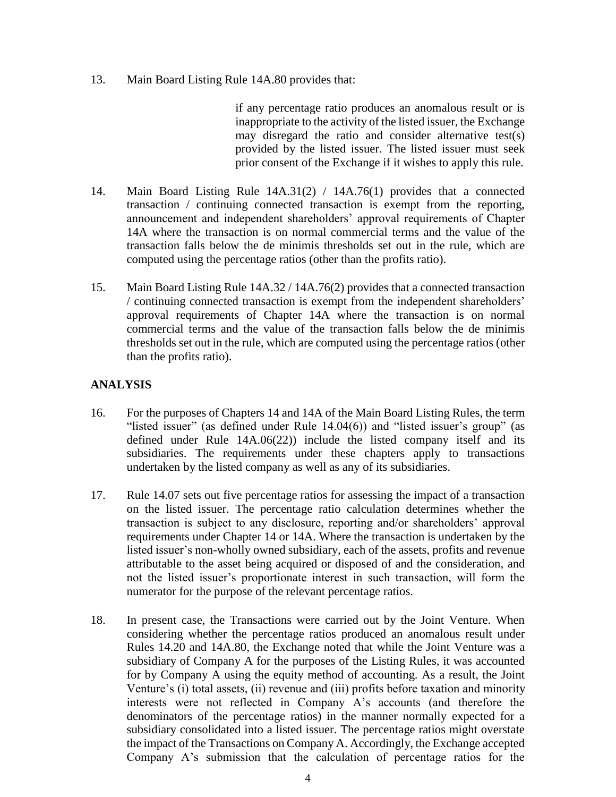13. Main Board Listing Rule 14A.80 provides that:

if any percentage ratio produces an anomalous result or is inappropriate to the activity of the listed issuer, the Exchange may disregard the ratio and consider alternative test(s) provided by the listed issuer. The listed issuer must seek prior consent of the Exchange if it wishes to apply this rule.

- 14. Main Board Listing Rule 14A.31(2) / 14A.76(1) provides that a connected transaction / continuing connected transaction is exempt from the reporting, announcement and independent shareholders' approval requirements of Chapter 14A where the transaction is on normal commercial terms and the value of the transaction falls below the de minimis thresholds set out in the rule, which are computed using the percentage ratios (other than the profits ratio).
- 15. Main Board Listing Rule 14A.32 / 14A.76(2) provides that a connected transaction / continuing connected transaction is exempt from the independent shareholders' approval requirements of Chapter 14A where the transaction is on normal commercial terms and the value of the transaction falls below the de minimis thresholds set out in the rule, which are computed using the percentage ratios (other than the profits ratio).

## **ANALYSIS**

- 16. For the purposes of Chapters 14 and 14A of the Main Board Listing Rules, the term "listed issuer" (as defined under Rule 14.04(6)) and "listed issuer's group" (as defined under Rule 14A.06(22)) include the listed company itself and its subsidiaries. The requirements under these chapters apply to transactions undertaken by the listed company as well as any of its subsidiaries.
- 17. Rule 14.07 sets out five percentage ratios for assessing the impact of a transaction on the listed issuer. The percentage ratio calculation determines whether the transaction is subject to any disclosure, reporting and/or shareholders' approval requirements under Chapter 14 or 14A. Where the transaction is undertaken by the listed issuer's non-wholly owned subsidiary, each of the assets, profits and revenue attributable to the asset being acquired or disposed of and the consideration, and not the listed issuer's proportionate interest in such transaction, will form the numerator for the purpose of the relevant percentage ratios.
- 18. In present case, the Transactions were carried out by the Joint Venture. When considering whether the percentage ratios produced an anomalous result under Rules 14.20 and 14A.80, the Exchange noted that while the Joint Venture was a subsidiary of Company A for the purposes of the Listing Rules, it was accounted for by Company A using the equity method of accounting. As a result, the Joint Venture's (i) total assets, (ii) revenue and (iii) profits before taxation and minority interests were not reflected in Company A's accounts (and therefore the denominators of the percentage ratios) in the manner normally expected for a subsidiary consolidated into a listed issuer. The percentage ratios might overstate the impact of the Transactions on Company A. Accordingly, the Exchange accepted Company A's submission that the calculation of percentage ratios for the